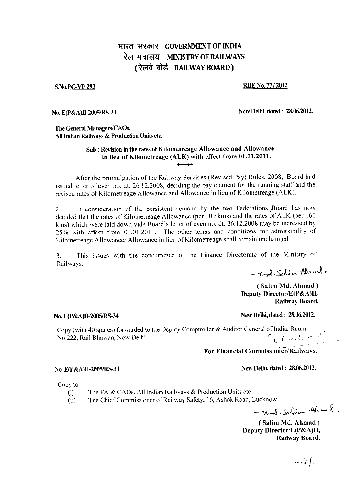# **HIRE सरकार GOVERNMENT OF INDIA** रेल मंत्रालय MINISTRY OF RAILWAYS (रेलवे बोर्ड RAILWAY BOARD)

### S.No.PC-VI/293 RBE No. 77 / 2012

No. E(P&A)II-2005/RS-34 New Delhi, dated : 28.06.2012.

The General Managers/CAOs, All Indian Railways & Production Units etc.

### Sub : Revision in the rates of Kilometreage Allowance and Allowance in lieu of Kilometreage (ALK) with effect from 01.01.2011.  $++$

After the promulgation of the Railway Services (Revised Pay) Rules, 2008, Board had issued letter of even no. dt. 26.12.2008, deciding the pay element for the running staff and the revised rates of Kilometreage Allowance and Allowance in lieu of Kilometreage (ALK).

2. In consideration of the persistent demand by the two Federations jBoard has now decided that the rates of Kilometreage Allowance (per 100 kms) and the rates of ALK (per 160 kms) which were laid down vide Board's letter of even no. dt. 26.12.2008 may be increased by 25% with effect from 01.01.2011. The other terms and conditions for admissibility of Kilometreage Allowance/ Allowance in lieu of Kilometreage shall remain unchanged.

3. This issues with the concurrence of the Finance Directorate of the Ministry of Railways.

- Md. Solin Ahmed,

( Salim Md. Ahmad ) Deputy Director/E(P&A)II, Railway Board.

## No. E(P&A)II-2005/RS-34 New Delhi, dated : 28.06.2012.

Copy (with 40 spares) forwarded to the Deputy Comptroller & Auditor General of India, Room<br>No.222, Rail Bhawan, New Delhi. No.222, Rail Bhawan, New Delhi.

### For Financial Commissioner/Railways.

No. E(P&A)II-2005/RS-34 New Delhi, dated : 28.06.2012.

Copy to :-

- (i) The FA  $& CAOs$ , All Indian Railways  $& Production Units$  etc.
- (ii) The Chief Commissioner of Railway Safety, 16, Ashok Road, Lucknow.

 $-wd$ . Salin Ahmad.

( Salim Md. Ahmad ) Deputy Director/E(P&A)11, Railway Board.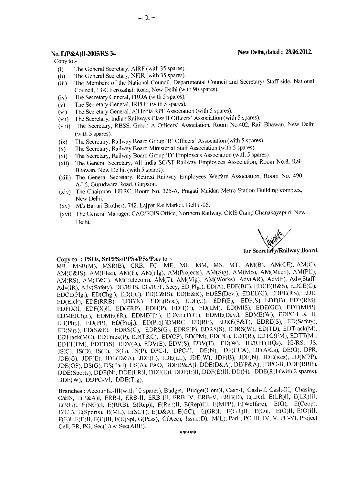## No. E(P&A)II-2005/RS-34 New Delhi, dated : 28.06.2012.

Copy to:-

- (i) The General Secretary, AIRF (with 35 spares).
- (ii) The General Secretary, NFIR (with 35 spares).
- (iii) The Members of the National Council, Departmental Council and Secretary/ Staff side, National Council, I3-C Ferozshah Road, New Delhi (with 90 spares).
- (iv) The Secretary General, FROA (with 5 spares).
- (v) The Secretary General, IRPOF (with 5 spares).
- (vi) The Secretary General, All India RPF Association (with 5 spares).

 $-2-$ 

- (vii) The Secretary, Indian Railways Class II Officers' Association (with 5 spares).
- (viii) The Secretary, RBSS, Group A Officers' Association, Room No.402, Rail Bhawan, New Delhi (with 5 spares).
- (ix) The Secretary, Railway Board Group 'B' Officers' Association (with 5 spares).
- (x) The Secretary, Railway Board Ministerial Staff Association (with 5 spares).
- (xi) The Secretary, Railway Board Group 'D' Employees Association (with 5 spares).
- (xii) The General Secretary, All India SC/ST Railway Employees Association, Room No.8, Rail Bhawan, New Delhi. (with 5 spares).
- (xiii) The General Secretary, Retired Railway Employees Welfare Association, Room No. 490 A/16, Gurudwara Road, Gurgaon.
- (xiv) The Chairman, FIRRC, Room No. 325-A. Pragati Maidan Metro Station Building complex, New Delhi.
- (xv) M/s Bahari Brothers, 742, Lajpat Rai Market, Delhi -06.
- (xvi) The General Manager, CAO/FOIS Office, Northern Railway, CRIS Camp Chanakayapuri, New Delhi,

Weddy

for Secretary/Railway Board.

### Copy to : PSOs, SrPPSs/PPSs/PSs/PAs to :-

MR, MSR(M), MSR(B), CRB, FC, ME, ML, MM, MS, MT, AM(B), AM(CE), AM(C), AM(C&IS), AM(Elec), AM(F), AM(Plg), AM(Projects), AM(Sig), AM(MS), AM(Mech), AM(PU), AM(RS), AM(T&C), AM(Telecom), AM(T), AM(Vig), AM(Works), Adv(AR), Adv(F), Adv(Staff) Adv(IR), Adv(Safety), DG/RHS, DG/RPF, Secy, ED(Plg.), ED(A), EDF(BC), EDCE(B&S), EDCE(G), EDCE(Plg.), ED(Chg.), ED(CC), ED(C&IS), ED(E&R), EDEE(Dev.), EDEE(G), EDEE(RS), EDE, ED(ERP), EDE(RRB), EDE(N), EDE(Res.), EDF(C), EDF(E), EDF(S), EDF(B), EDF(RM), EDF(X)I, EDF(X)II, ED(ERP), EDH(P), EDH(G), ED(LM), ED(MIS), EDE(GC), EDT(MPP), EDME(Chg.), EDME(FR), EDME(Tr.), EDME(TOT), EDME(Dev.), EDME(W), EDPC-I & II, ED(Plg.), ED(PP), ED(Proj.), ED(Proj.)DMRC, ED(RE), EDRE(S&T), EDRE(S), ED(Safety), ED(Sig.), ED(S&E), EDRS(C), EDRS(G), EDRS(P), EDRS(S), EDRS(W), ED(TD), EDTrack(M), EDTrack(MC), EDTrack(P), ED(T&C), ED(CP), ED(PM), ED(PG), EDT(R), EDTC(FM), EDTT(M), EDTT(FM), EDTT(S), EDV(A), EDV(E), EDV(S), EDV(T), ED(W), IG/RPF(HQs), 1G/RS, JS, JS(C), JS(D), JS(E), JS(G), JS(P), DPC-I, DPC-II, DE(N), DF(CCA), DF(A/Cs), DE(G), DPR, JDE(G), JDF(E), JDE(D&A), JDE(L), JDE(LL), JDE(W), JDF(B), JDE(N), JDE(Res), JD(MPP), JDE(GP), DS(G), DS(Parl), US(A), PAO, DDE(P&A)I, DDE(D&A), DE(P&A), JDPC-II, DDE(RRB), DDE(Sports), DDE(N), DDE(LR)I, DDF(E)I, DDF(E)II, DDF(E)III, DD(H), DDE(R)I (with 2 spares), DDE(W), DDPC-VI, DDE(Trg).

Branches : Accounts.-III(with 10 spares), Budget, Budget(Com)I, Cash-I, Cash-II, Cash-III, Chasing, C&IS, E(P&A)I, ERB-I, ERB-II, ERB-III, ERB-IV, ERB-V, ERB(D), E(LR)I, E(LR)II, E(LR)III, E(NG)l, E(NG)II, E(RRB), E(Rep)I, E(Rep)II, E(Rep)III, E(MPP), E(Welfare), E(G), E(Coop), E(LL), E(Sports), E(ML), E(SCT), E(D&A), E(GC), E(GR)I, E(GR)II, E(O)I, E(O)II, E(O)III, F(E)I, F(E)II, F(E)III, F(E)Spl, G(Pass), G(Acc), Issue(D), M(L), Parl., PC-111, IV, V, PC-VI, Project Cell, PR, PG, Sec(E) & Sec(ABE).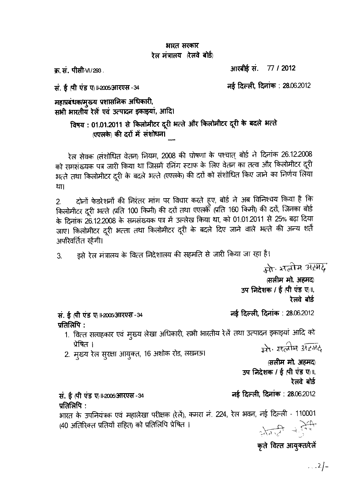# भारत सरकार रेल मंत्रालय (रेलवे बोर्ड)

क. सं. पीसी-VI/293.

आरबीई सं. 77 / 2012

सं. ई ती एंड ए । 2005 आरएस - 34

नई दिल्ली, दिनांक : 28.06.2012

महाप्रबंधक/मुख्य प्रशासनिक अधिकारी, सभी भारतीय रेलें एवं उत्पादन इकाइयां, आदि।

> विषय : 01.01.2011 से किलोमीटर दूरी भत्ते और किलोमीटर दूरी के बदले भत्ते (एएलके) की दरों में संशोधन।

रेल सेवक (संशोधित वेतन) नियम, 2008 की घोषणा के पश्चात् बोर्ड ने दिनांक 26.12.2008 को समसंख्यक पत्र जारी किया था जिसमें रनिंग स्टाफ के लिए वेतन का तत्व और किलोमीटर दूरी भत्ते तथा किलोमीटर दूरी के बदले भत्ते (एएलके) की दरों को संशोधित किए जाने का निर्णय लिया था।

दोनों फेडरेशनों की निरंतर मांग पर विचार करते हूए, बोर्ड ने अब विनिश्चय किया है कि  $2.$ किलोमीटर दूरी भत्ते (प्रति 100 किमी) की दरों तथा एएलके (प्रति 160 किमी) की दरों, जिनका बोर्ड के दिनांक 26.12.2008 के समसंख्यक पत्र में उल्लेख किया था, को 01.01.2011 से 25% बढ़ा दिया जाए। किलोमीटर दूरी भत्ता तथा किलोमीटर दूरी के बदले दिए जाने वाले भत्ते की अन्य शर्ते अपरिवर्तित रहेंगी।

इसे रेल मंत्रालय के वित्त निदेशालय की सहमति से जारी किया जा रहा है।  $\overline{3}$ .

मो भूतीम अस्मेद

(सलीम मो. अहमद) उप निदेशक / ई (पी एंड ए)॥, रेलवे बोर्ड

नई दिल्ली, दिनांक : 28.06.2012

प्रतिलिपि $\,$  :

1. वित्त सलाहकार एवं मुख्य लेखा अधिकारी, सभी भारतीय रेलें तथा उत्पादन इकाइयां आदि को प्रेषित । में मर्त्वान अंग्लंद

2. मुख्य रेल सुरक्षा आयुक्त, 16 अशोक रोड, लखनऊ।

(सलीम मो. अहमद) उप निदेशक / ई (पी एंड ए) ॥, रेलवे बोर्ड

नई दिल्ली, दिनांक: 28.06.2012

सं. ई (पी एंड ए) ⊩2005⁄आरएस - 34 प्रतिलिपि $\,$ :

सं. ई (पी एंड ए) 11-2005/आरएस - 34

भारत के उपनियंत्रक एवं महालेखा परीक्षक (रेलें), कमरा नं. 224, रेल भवन, नई दिल्ली - 110001  $\frac{1}{2\sqrt{2}}$  and  $\frac{1}{2\sqrt{2}}$ (40 अतिरिक्त प्रतियों सहित) को प्रतिलिपि प्रेषित ।

कृते वित्त आयुक्त/रेलें